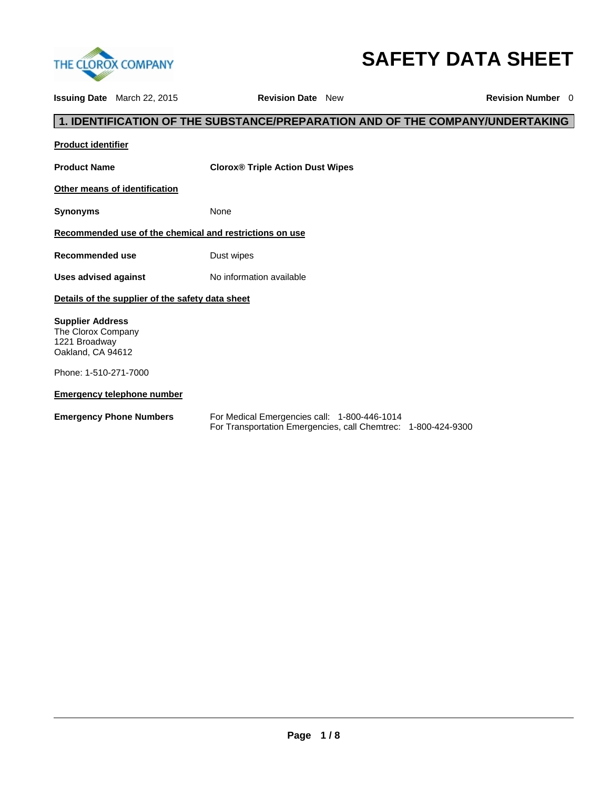

# **SAFETY DATA SHEET**

**Issuing Date** March 22, 2015 **Revision Date** New **Revision Number** 0 **1. IDENTIFICATION OF THE SUBSTANCE/PREPARATION AND OF THE COMPANY/UNDERTAKING Product identifier Product Name Clorox® Triple Action Dust Wipes Other means of identification Synonyms** None **Recommended use of the chemical and restrictions on use Recommended use Dust wipes** Uses advised against **No information available Details of the supplier of the safety data sheet Supplier Address**  The Clorox Company 1221 Broadway Oakland, CA 94612 Phone: 1-510-271-7000 **Emergency telephone number Emergency Phone Numbers** For Medical Emergencies call: 1-800-446-1014 For Transportation Emergencies, call Chemtrec: 1-800-424-9300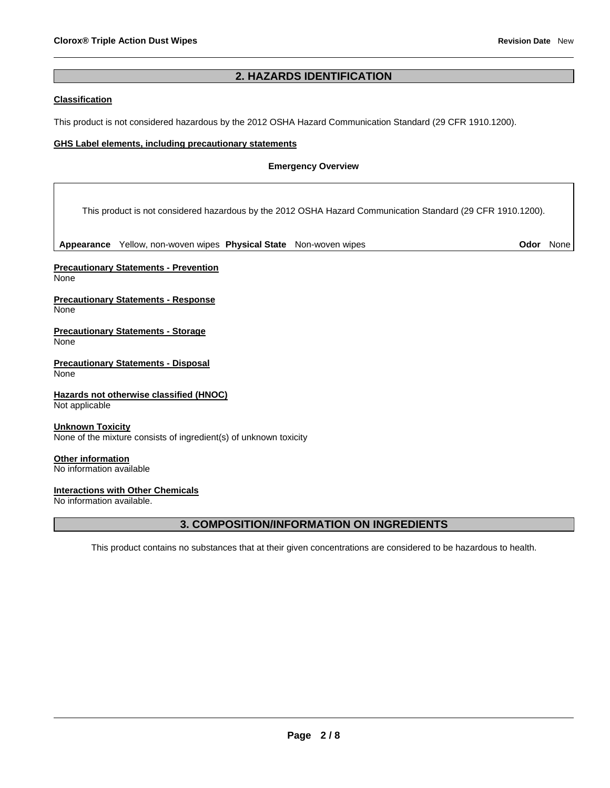# **2. HAZARDS IDENTIFICATION**

#### **Classification**

This product is not considered hazardous by the 2012 OSHA Hazard Communication Standard (29 CFR 1910.1200).

#### **GHS Label elements, including precautionary statements**

## **Emergency Overview**

This product is not considered hazardous by the 2012 OSHA Hazard Communication Standard (29 CFR 1910.1200).

**Appearance** Yellow, non-woven wipes **Physical State** Non-woven wipes **Odor** None

**Precautionary Statements - Prevention**  None

**Precautionary Statements - Response**  None

**Precautionary Statements - Storage**  None

**Precautionary Statements - Disposal None** 

**Hazards not otherwise classified (HNOC)**  Not applicable

**Unknown Toxicity**  None of the mixture consists of ingredient(s) of unknown toxicity

**Other information**  No information available

## **Interactions with Other Chemicals**

No information available.

# **3. COMPOSITION/INFORMATION ON INGREDIENTS**

This product contains no substances that at their given concentrations are considered to be hazardous to health.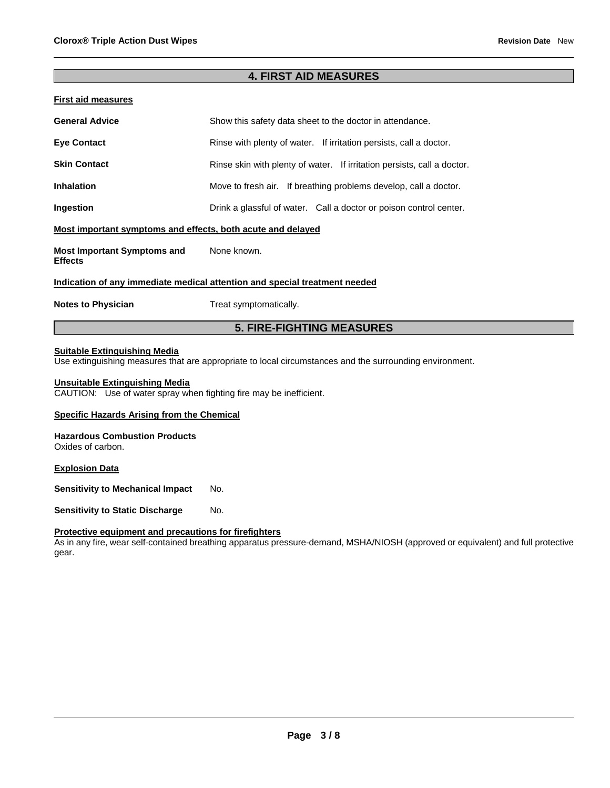# **4. FIRST AID MEASURES**

| <b>First aid measures</b>                                                  |                                                                         |  |  |  |  |  |
|----------------------------------------------------------------------------|-------------------------------------------------------------------------|--|--|--|--|--|
| <b>General Advice</b>                                                      | Show this safety data sheet to the doctor in attendance.                |  |  |  |  |  |
| <b>Eye Contact</b>                                                         | Rinse with plenty of water. If irritation persists, call a doctor.      |  |  |  |  |  |
| <b>Skin Contact</b>                                                        | Rinse skin with plenty of water. If irritation persists, call a doctor. |  |  |  |  |  |
| <b>Inhalation</b>                                                          | Move to fresh air. If breathing problems develop, call a doctor.        |  |  |  |  |  |
| Ingestion                                                                  | Drink a glassful of water. Call a doctor or poison control center.      |  |  |  |  |  |
| Most important symptoms and effects, both acute and delayed                |                                                                         |  |  |  |  |  |
| <b>Most Important Symptoms and</b><br><b>Effects</b>                       | None known.                                                             |  |  |  |  |  |
| Indication of any immediate medical attention and special treatment needed |                                                                         |  |  |  |  |  |
| <b>Notes to Physician</b>                                                  | Treat symptomatically.                                                  |  |  |  |  |  |
| <b>5. FIRE-FIGHTING MEASURES</b>                                           |                                                                         |  |  |  |  |  |

# **Suitable Extinguishing Media**

Use extinguishing measures that are appropriate to local circumstances and the surrounding environment.

#### **Unsuitable Extinguishing Media**

CAUTION: Use of water spray when fighting fire may be inefficient.

#### **Specific Hazards Arising from the Chemical**

#### **Hazardous Combustion Products**

Oxides of carbon.

#### **Explosion Data**

**Sensitivity to Mechanical Impact No.** 

**Sensitivity to Static Discharge Mo.** 

#### **Protective equipment and precautions for firefighters**

As in any fire, wear self-contained breathing apparatus pressure-demand, MSHA/NIOSH (approved or equivalent) and full protective gear.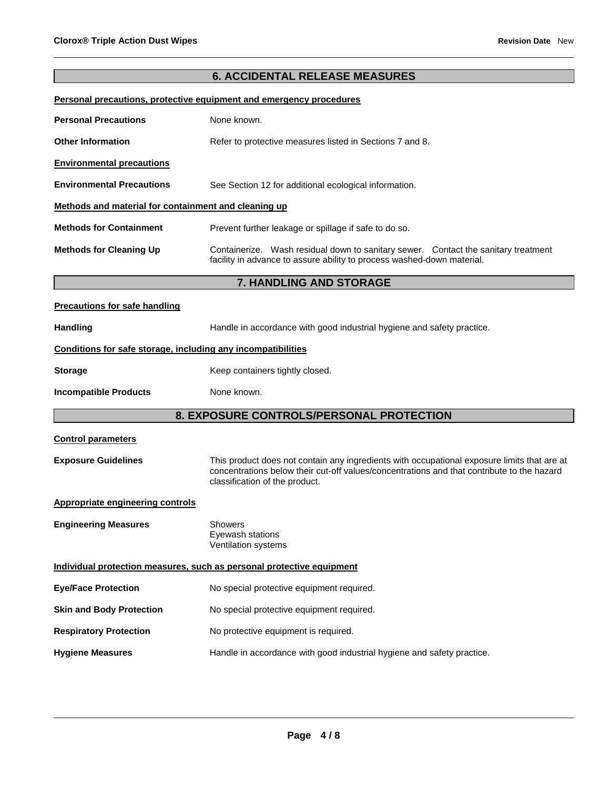# **6. ACCIDENTAL RELEASE MEASURES**

#### **Personal precautions, protective equipment and emergency procedures**

| <b>Personal Precautions</b>                          | None known.                                                                                                                                                     |  |  |  |  |
|------------------------------------------------------|-----------------------------------------------------------------------------------------------------------------------------------------------------------------|--|--|--|--|
| <b>Other Information</b>                             | Refer to protective measures listed in Sections 7 and 8.                                                                                                        |  |  |  |  |
| <b>Environmental precautions</b>                     |                                                                                                                                                                 |  |  |  |  |
| <b>Environmental Precautions</b>                     | See Section 12 for additional ecological information.                                                                                                           |  |  |  |  |
| Methods and material for containment and cleaning up |                                                                                                                                                                 |  |  |  |  |
| <b>Methods for Containment</b>                       | Prevent further leakage or spillage if safe to do so.                                                                                                           |  |  |  |  |
| <b>Methods for Cleaning Up</b>                       | Wash residual down to sanitary sewer. Contact the sanitary treatment<br>Containerize.<br>facility in advance to assure ability to process washed-down material. |  |  |  |  |

# **7. HANDLING AND STORAGE**

## **Precautions for safe handling**

Handling **Handle in accordance with good industrial hygiene and safety practice.** 

## **Conditions for safe storage, including any incompatibilities**

**Storage Example 20 Storage Research 20 Storage Research 20 Storage Research 20 Storage 20 Storage 20 Storage 20 Storage 20 Storage 20 Storage 20 Storage 20 Storage 20 Storage 20 Storage 20 Storage 20 Storage 20 St** 

**Incompatible Products** None known.

# **8. EXPOSURE CONTROLS/PERSONAL PROTECTION**

| <b>8. EXPOSURE CONTROLS/PERSONAL PROTECTION</b>                       |                                                                                                                                                                                                                             |  |  |  |
|-----------------------------------------------------------------------|-----------------------------------------------------------------------------------------------------------------------------------------------------------------------------------------------------------------------------|--|--|--|
| <b>Control parameters</b>                                             |                                                                                                                                                                                                                             |  |  |  |
| <b>Exposure Guidelines</b>                                            | This product does not contain any ingredients with occupational exposure limits that are at<br>concentrations below their cut-off values/concentrations and that contribute to the hazard<br>classification of the product. |  |  |  |
| Appropriate engineering controls                                      |                                                                                                                                                                                                                             |  |  |  |
| <b>Engineering Measures</b>                                           | Showers<br>Eyewash stations<br>Ventilation systems                                                                                                                                                                          |  |  |  |
| Individual protection measures, such as personal protective equipment |                                                                                                                                                                                                                             |  |  |  |
| <b>Eye/Face Protection</b>                                            | No special protective equipment required.                                                                                                                                                                                   |  |  |  |
| <b>Skin and Body Protection</b>                                       | No special protective equipment required.                                                                                                                                                                                   |  |  |  |
| <b>Respiratory Protection</b>                                         | No protective equipment is required.                                                                                                                                                                                        |  |  |  |
| <b>Hygiene Measures</b>                                               | Handle in accordance with good industrial hygiene and safety practice.                                                                                                                                                      |  |  |  |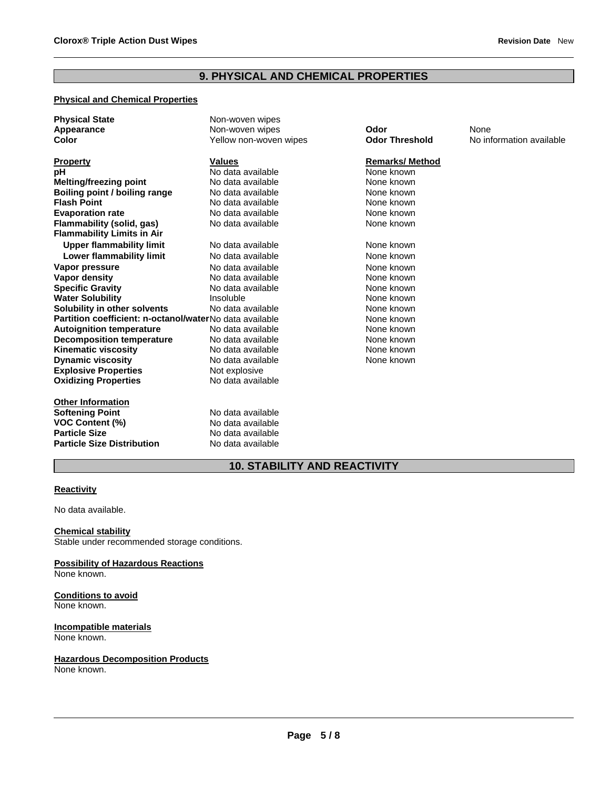# **9. PHYSICAL AND CHEMICAL PROPERTIES**

## **Physical and Chemical Properties**

| <b>Physical State</b>                                   | Non-woven wipes        |                       |                          |
|---------------------------------------------------------|------------------------|-----------------------|--------------------------|
| Appearance                                              | Non-woven wipes        | Odor                  | None                     |
| <b>Color</b>                                            | Yellow non-woven wipes | <b>Odor Threshold</b> | No information available |
| <b>Property</b>                                         | <b>Values</b>          | <b>Remarks/Method</b> |                          |
| рH                                                      | No data available      | None known            |                          |
| <b>Melting/freezing point</b>                           | No data available      | None known            |                          |
| Boiling point / boiling range                           | No data available      | None known            |                          |
| <b>Flash Point</b>                                      | No data available      | None known            |                          |
| <b>Evaporation rate</b>                                 | No data available      | None known            |                          |
| Flammability (solid, gas)                               | No data available      | None known            |                          |
| <b>Flammability Limits in Air</b>                       |                        |                       |                          |
| <b>Upper flammability limit</b>                         | No data available      | None known            |                          |
| <b>Lower flammability limit</b>                         | No data available      | None known            |                          |
| Vapor pressure                                          | No data available      | None known            |                          |
| Vapor density                                           | No data available      | None known            |                          |
| <b>Specific Gravity</b>                                 | No data available      | None known            |                          |
| <b>Water Solubility</b>                                 | Insoluble              | None known            |                          |
| Solubility in other solvents                            | No data available      | None known            |                          |
| Partition coefficient: n-octanol/waterNo data available |                        | None known            |                          |
| <b>Autoignition temperature</b>                         | No data available      | None known            |                          |
| <b>Decomposition temperature</b>                        | No data available      | None known            |                          |
| <b>Kinematic viscosity</b>                              | No data available      | None known            |                          |
| <b>Dynamic viscosity</b>                                | No data available      | None known            |                          |
| <b>Explosive Properties</b>                             | Not explosive          |                       |                          |
| <b>Oxidizing Properties</b>                             | No data available      |                       |                          |
| <b>Other Information</b>                                |                        |                       |                          |
| <b>Softening Point</b>                                  | No data available      |                       |                          |
| <b>VOC Content (%)</b>                                  | No data available      |                       |                          |
| <b>Particle Size</b>                                    | No data available      |                       |                          |
| <b>Particle Size Distribution</b>                       | No data available      |                       |                          |

# **10. STABILITY AND REACTIVITY**

# **Reactivity**

No data available.

**Chemical stability**  Stable under recommended storage conditions.

**Possibility of Hazardous Reactions**  None known.

**Conditions to avoid**  None known.

**Incompatible materials** None known.

**Hazardous Decomposition Products**

None known.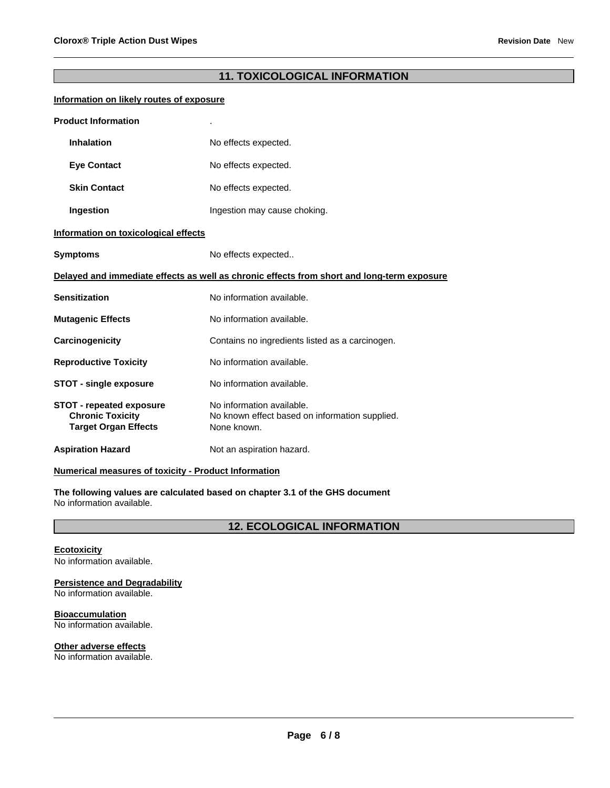# **11. TOXICOLOGICAL INFORMATION**

#### **Information on likely routes of exposure**

| <b>Product Information</b>                                                                 |                                                                                            |  |  |  |  |
|--------------------------------------------------------------------------------------------|--------------------------------------------------------------------------------------------|--|--|--|--|
| <b>Inhalation</b>                                                                          | No effects expected.                                                                       |  |  |  |  |
| <b>Eye Contact</b>                                                                         | No effects expected.                                                                       |  |  |  |  |
| <b>Skin Contact</b>                                                                        | No effects expected.                                                                       |  |  |  |  |
| Ingestion                                                                                  | Ingestion may cause choking.                                                               |  |  |  |  |
| Information on toxicological effects                                                       |                                                                                            |  |  |  |  |
| <b>Symptoms</b><br>No effects expected                                                     |                                                                                            |  |  |  |  |
| Delayed and immediate effects as well as chronic effects from short and long-term exposure |                                                                                            |  |  |  |  |
| <b>Sensitization</b>                                                                       | No information available.                                                                  |  |  |  |  |
| <b>Mutagenic Effects</b>                                                                   | No information available.                                                                  |  |  |  |  |
| Carcinogenicity                                                                            | Contains no ingredients listed as a carcinogen.                                            |  |  |  |  |
| <b>Reproductive Toxicity</b>                                                               | No information available.                                                                  |  |  |  |  |
| <b>STOT - single exposure</b>                                                              | No information available.                                                                  |  |  |  |  |
| <b>STOT - repeated exposure</b><br><b>Chronic Toxicity</b><br><b>Target Organ Effects</b>  | No information available.<br>No known effect based on information supplied.<br>None known. |  |  |  |  |
| <b>Aspiration Hazard</b>                                                                   | Not an aspiration hazard.                                                                  |  |  |  |  |

## **Numerical measures of toxicity - Product Information**

**The following values are calculated based on chapter 3.1 of the GHS document** No information available.

**12. ECOLOGICAL INFORMATION** 

# **Ecotoxicity**

No information available.

**Persistence and Degradability** 

No information available.

**Bioaccumulation**  No information available.

**Other adverse effects**  No information available.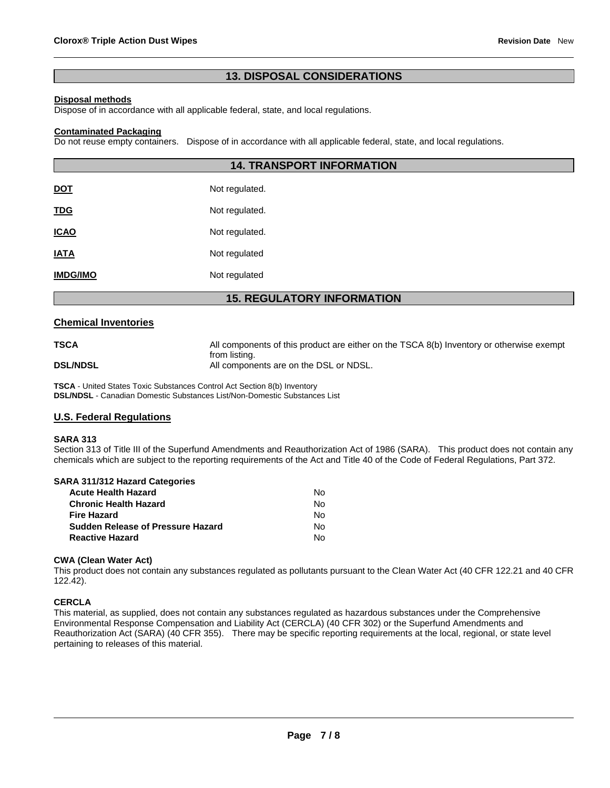# **13. DISPOSAL CONSIDERATIONS**

#### **Disposal methods**

Dispose of in accordance with all applicable federal, state, and local regulations.

#### **Contaminated Packaging**

Do not reuse empty containers. Dispose of in accordance with all applicable federal, state, and local regulations.

|                 | <b>14. TRANSPORT INFORMATION</b> |  |  |  |
|-----------------|----------------------------------|--|--|--|
| <u>DOT</u>      | Not regulated.                   |  |  |  |
| <u>TDG</u>      | Not regulated.                   |  |  |  |
| <b>ICAO</b>     | Not regulated.                   |  |  |  |
| <b>IATA</b>     | Not regulated                    |  |  |  |
| <b>IMDG/IMO</b> | Not regulated                    |  |  |  |
| −               |                                  |  |  |  |

# **15. REGULATORY INFORMATION**

#### **Chemical Inventories**

| <b>TSCA</b>     | All components of this product are either on the TSCA 8(b) Inventory or otherwise exempt |
|-----------------|------------------------------------------------------------------------------------------|
|                 | from listing.                                                                            |
| <b>DSL/NDSL</b> | All components are on the DSL or NDSL.                                                   |

**TSCA** - United States Toxic Substances Control Act Section 8(b) Inventory **DSL/NDSL** - Canadian Domestic Substances List/Non-Domestic Substances List

## **U.S. Federal Regulations**

#### **SARA 313**

Section 313 of Title III of the Superfund Amendments and Reauthorization Act of 1986 (SARA). This product does not contain any chemicals which are subject to the reporting requirements of the Act and Title 40 of the Code of Federal Regulations, Part 372.

#### **SARA 311/312 Hazard Categories**

| <b>Acute Health Hazard</b>        | Nο |
|-----------------------------------|----|
| <b>Chronic Health Hazard</b>      | Nο |
| <b>Fire Hazard</b>                | Nο |
| Sudden Release of Pressure Hazard | Nο |
| <b>Reactive Hazard</b>            | N٥ |

#### **CWA (Clean Water Act)**

This product does not contain any substances regulated as pollutants pursuant to the Clean Water Act (40 CFR 122.21 and 40 CFR 122.42).

## **CERCLA**

This material, as supplied, does not contain any substances regulated as hazardous substances under the Comprehensive Environmental Response Compensation and Liability Act (CERCLA) (40 CFR 302) or the Superfund Amendments and Reauthorization Act (SARA) (40 CFR 355). There may be specific reporting requirements at the local, regional, or state level pertaining to releases of this material.